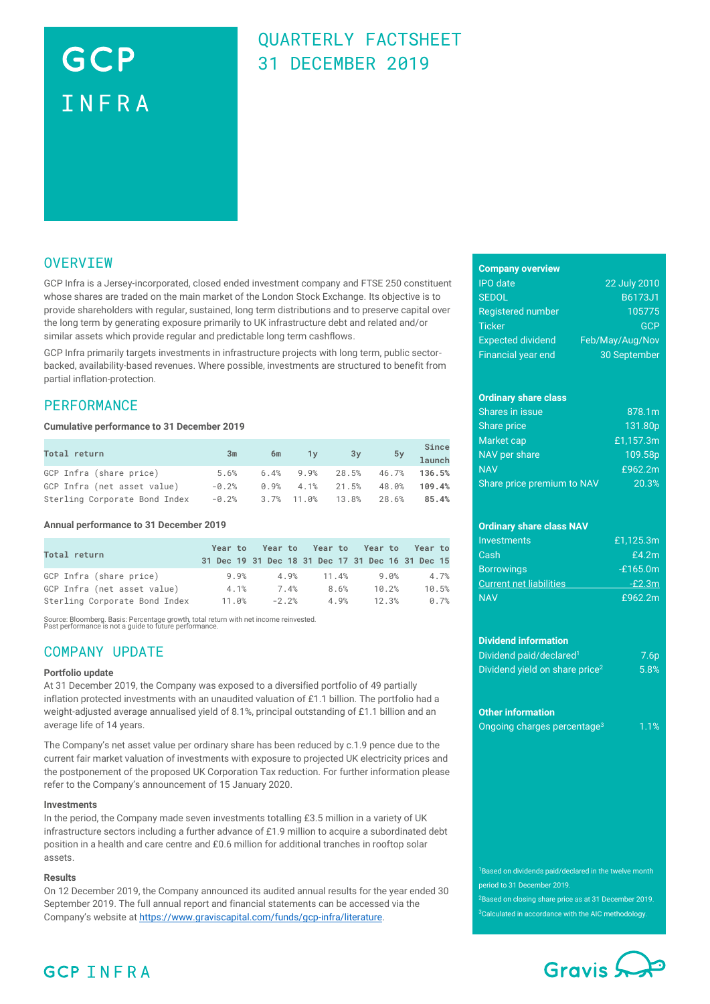# GCP INFRA

## QUARTERLY FACTSHEET 31 DECEMBER 2019

### **OVERVIEW**

GCP Infra is a Jersey-incorporated, closed ended investment company and FTSE 250 constituent whose shares are traded on the main market of the London Stock Exchange. Its objective is to provide shareholders with regular, sustained, long term distributions and to preserve capital over the long term by generating exposure primarily to UK infrastructure debt and related and/or similar assets which provide regular and predictable long term cashflows.

GCP Infra primarily targets investments in infrastructure projects with long term, public sectorbacked, availability-based revenues. Where possible, investments are structured to benefit from partial inflation-protection.

### **PERFORMANCE**

#### **Cumulative performance to 31 December 2019**

| Total return                  | 3m      | 6m | $\sqrt{1}y$ | 3y                              |       | Since<br>5y 1aunch |
|-------------------------------|---------|----|-------------|---------------------------------|-------|--------------------|
| GCP Infra (share price)       | 5.6%    |    |             | $6.4\%$ 9.9% 28.5% 46.7% 136.5% |       |                    |
| GCP Infra (net asset value)   | $-0.2%$ |    |             | $0.9\%$ 4.1% 21.5%              | 48.0% | 109.4%             |
| Sterling Corporate Bond Index | -0.2%   |    |             | $3.7\%$ 11.0% 13.8% 28.6%       |       | 85.4%              |

#### **Annual performance to 31 December 2019**

| Total return                  |       |         |       | Year to Year to Year to Year to Year to<br>31 Dec 19 31 Dec 18 31 Dec 17 31 Dec 16 31 Dec 15 |       |
|-------------------------------|-------|---------|-------|----------------------------------------------------------------------------------------------|-------|
| GCP Infra (share price)       | 9.9%  | 4.9%    | 11.4% | 9.0%                                                                                         | 4.7%  |
| GCP Infra (net asset value)   | 4.1%  | 7.4%    | 8.6%  | 10.2%                                                                                        | 10.5% |
| Sterling Corporate Bond Index | 11.0% | $-2.2%$ | 4.9%  | 12.3%                                                                                        | 0.7%  |

Source: Bloomberg. Basis: Percentage growth, total return with net income reinvested. Past performance is not a guide to future performance.

### COMPANY UPDATE

#### **Portfolio update**

At 31 December 2019, the Company was exposed to a diversified portfolio of 49 partially inflation protected investments with an unaudited valuation of £1.1 billion. The portfolio had a weight-adjusted average annualised yield of 8.1%, principal outstanding of £1.1 billion and an average life of 14 years.

The Company's net asset value per ordinary share has been reduced by c.1.9 pence due to the current fair market valuation of investments with exposure to projected UK electricity prices and the postponement of the proposed UK Corporation Tax reduction. For further information please refer to the Company's announcement of 15 January 2020.

#### **Investments**

In the period, the Company made seven investments totalling £3.5 million in a variety of UK infrastructure sectors including a further advance of £1.9 million to acquire a subordinated debt position in a health and care centre and £0.6 million for additional tranches in rooftop solar assets.

### **Results**

On 12 December 2019, the Company announced its audited annual results for the year ended 30 September 2019. The full annual report and financial statements can be accessed via the Company's website a[t https://www.graviscapital.com/funds/gcp-infra/literature.](https://www.graviscapital.com/funds/gcp-infra/literature)

| <b>Company overview</b> |  |
|-------------------------|--|

| <b>IPO</b> date           | 22 July 2010    |
|---------------------------|-----------------|
| <b>SEDOL</b>              | B6173J1         |
| <b>Registered number</b>  | 105775          |
| <b>Ticker</b>             | <b>GCP</b>      |
| <b>Expected dividend</b>  | Feb/May/Aug/Nov |
| <b>Financial year end</b> | 30 September    |

### **Ordinary share class**

| Shares in issue            | 878.1m    |
|----------------------------|-----------|
| Share price                | 131.80p   |
| Market cap                 | £1.157.3m |
| NAV per share              | 109.58p   |
| <b>NAV</b>                 | £962.2m   |
| Share price premium to NAV | 20.3%     |

### **Ordinary share class NAV**

| Investments                    | £1.125.3m  |
|--------------------------------|------------|
| Cash                           | £4.2m      |
| <b>Borrowings</b>              | $-£165.0m$ |
| <b>Current net liabilities</b> | $-F2.3m$   |
| <b>NAV</b>                     | £962.2m    |

#### **Dividend information**

| Dividend paid/declared <sup>1</sup>        | 7.6 <sub>p</sub> |
|--------------------------------------------|------------------|
| Dividend yield on share price <sup>2</sup> | $5.8\%$          |

#### **Other information**

|  | Ongoing charges percentage <sup>3</sup> | 1.1% |
|--|-----------------------------------------|------|

<sup>1</sup>Based on dividends paid/declared in the twelve month period to 31 December 2019.

<sup>2</sup>Based on closing share price as at 31 December 2019. <sup>3</sup>Calculated in accordance with the AIC methodology.



### **GCP INFRA**